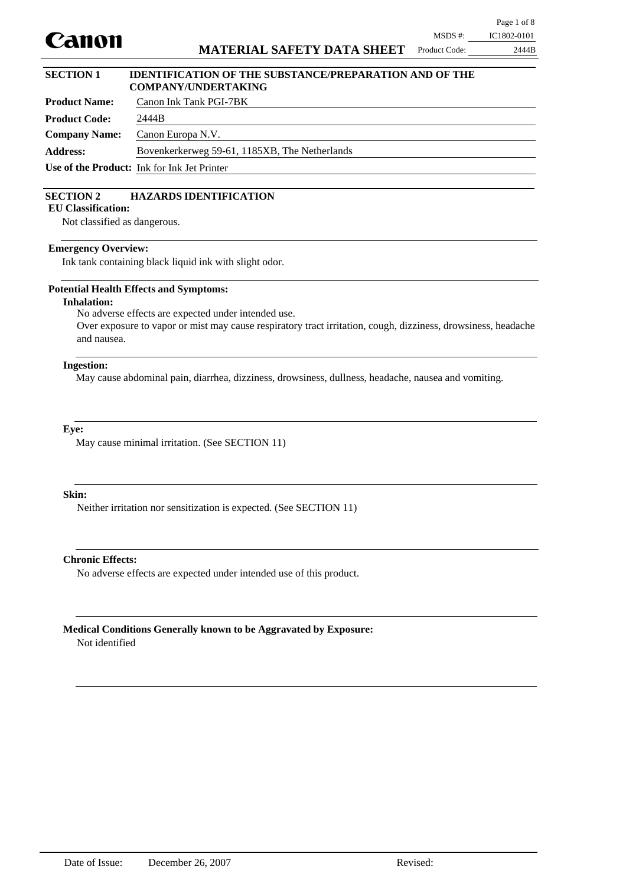

### **Product Name:** Canon Ink Tank PGI-7BK **SECTION 1 IDENTIFICATION OF THE SUBSTANCE/PREPARATION AND OF THE COMPANY/UNDERTAKING**

| 11 vaart 1 van e     |                                                    |
|----------------------|----------------------------------------------------|
| <b>Product Code:</b> | 2444B                                              |
| <b>Company Name:</b> | Canon Europa N.V.                                  |
| <b>Address:</b>      | Bovenkerkerweg 59-61, 1185XB, The Netherlands      |
|                      | <b>Use of the Product:</b> Ink for Ink Jet Printer |

## **SECTION 2 HAZARDS IDENTIFICATION**

**EU Classification:**

Not classified as dangerous.

### **Emergency Overview:**

Ink tank containing black liquid ink with slight odor.

### **Potential Health Effects and Symptoms:**

### **Inhalation:**

No adverse effects are expected under intended use.

Over exposure to vapor or mist may cause respiratory tract irritation, cough, dizziness, drowsiness, headache and nausea.

### **Ingestion:**

May cause abdominal pain, diarrhea, dizziness, drowsiness, dullness, headache, nausea and vomiting.

### **Eye:**

May cause minimal irritation. (See SECTION 11)

### **Skin:**

Neither irritation nor sensitization is expected. (See SECTION 11)

### **Chronic Effects:**

No adverse effects are expected under intended use of this product.

# **Medical Conditions Generally known to be Aggravated by Exposure:**

Not identified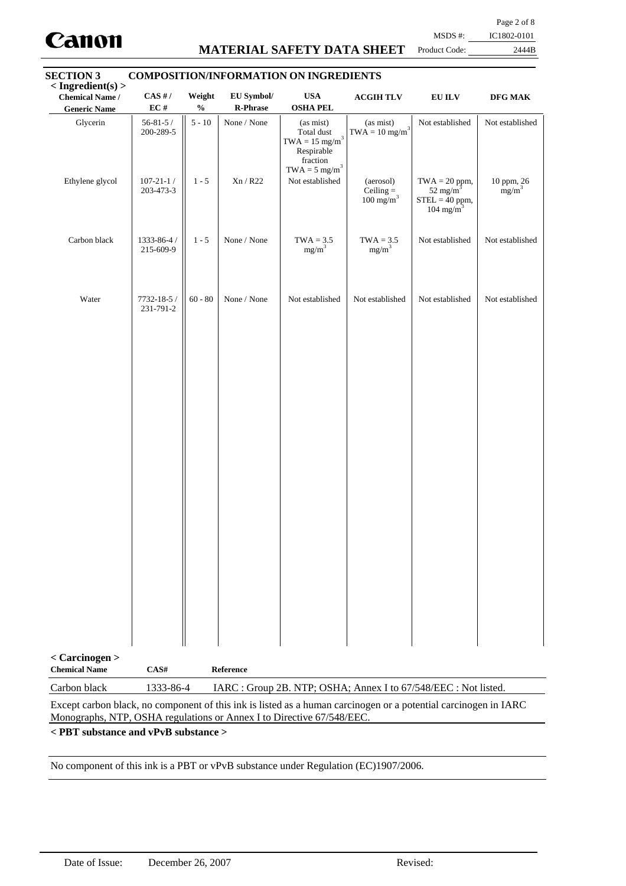

### **MATERIAL SAFETY DATA SHEET**

Page 2 of 8

MSDS #: IC1802-0101 Product Code: 2444B

| $<$ Ingredient(s) $>$<br><b>Chemical Name /</b><br><b>Generic Name</b> | $CAS$ #/<br>EC#              | Weight<br>$\mathbf{0}_{\mathbf{0}}^{\prime}$ | EU Symbol/<br><b>R-Phrase</b> | <b>USA</b><br><b>OSHA PEL</b>                                                                                          | <b>ACGIHTLV</b>                                                 | <b>EU ILV</b>                                                                        | DFG MAK                  |
|------------------------------------------------------------------------|------------------------------|----------------------------------------------|-------------------------------|------------------------------------------------------------------------------------------------------------------------|-----------------------------------------------------------------|--------------------------------------------------------------------------------------|--------------------------|
| Glycerin                                                               | $56 - 81 - 5/$<br>200-289-5  | $5 - 10$                                     | None / None                   | (as mist)<br>Total dust<br>$\text{TWA}=15 \text{ mg/m}^3$<br>Respirable<br>fraction<br>$\text{TWA} = 5 \text{ mg/m}^3$ | (as mist)<br>$TWA = 10$ mg/m <sup>3</sup>                       | Not established                                                                      | Not established          |
| Ethylene glycol                                                        | $107 - 21 - 1/$<br>203-473-3 | $1 - 5$                                      | Xn/R22                        | Not established                                                                                                        | (aerosol)<br>Ceiling $=$<br>$100 \text{ mg/m}^3$                | $TWA = 20$ ppm,<br>52 mg/m <sup>3</sup><br>$STEL = 40$ ppm,<br>104 mg/m <sup>3</sup> | $10$ ppm, $26$ mg/m $^3$ |
| Carbon black                                                           | 1333-86-4 /<br>215-609-9     | $1 - 5$                                      | None / None                   | $TWA = 3.5$<br>$mg/m^3$                                                                                                | $TWA = 3.5$<br>$mg/m^3$                                         | Not established                                                                      | Not established          |
| Water                                                                  | 7732-18-5 /<br>231-791-2     | $60 - 80$                                    | None / None                   | Not established                                                                                                        | Not established                                                 | Not established                                                                      | Not established          |
|                                                                        |                              |                                              |                               |                                                                                                                        |                                                                 |                                                                                      |                          |
|                                                                        |                              |                                              |                               |                                                                                                                        |                                                                 |                                                                                      |                          |
|                                                                        |                              |                                              |                               |                                                                                                                        |                                                                 |                                                                                      |                          |
|                                                                        |                              |                                              |                               |                                                                                                                        |                                                                 |                                                                                      |                          |
|                                                                        |                              |                                              |                               |                                                                                                                        |                                                                 |                                                                                      |                          |
|                                                                        |                              |                                              |                               |                                                                                                                        |                                                                 |                                                                                      |                          |
|                                                                        |                              |                                              |                               |                                                                                                                        |                                                                 |                                                                                      |                          |
|                                                                        |                              |                                              |                               |                                                                                                                        |                                                                 |                                                                                      |                          |
|                                                                        |                              |                                              |                               |                                                                                                                        |                                                                 |                                                                                      |                          |
|                                                                        |                              |                                              |                               |                                                                                                                        |                                                                 |                                                                                      |                          |
| < Carcinogen ><br><b>Chemical Name</b>                                 | CAS#                         |                                              | Reference                     |                                                                                                                        |                                                                 |                                                                                      |                          |
| Carbon black                                                           | 1333-86-4                    |                                              |                               |                                                                                                                        | IARC : Group 2B. NTP; OSHA; Annex I to 67/548/EEC : Not listed. |                                                                                      |                          |

Except carbon black, no component of this ink is listed as a human carcinogen or a potential carcinogen in IARC Monographs, NTP, OSHA regulations or Annex I to Directive 67/548/EEC.

**< PBT substance and vPvB substance >**

No component of this ink is a PBT or vPvB substance under Regulation (EC)1907/2006.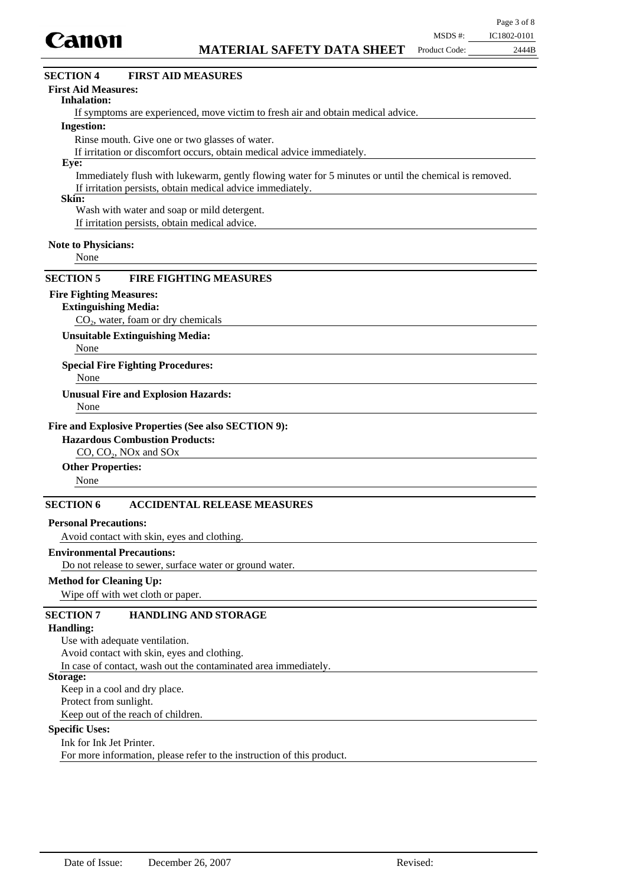

# $CO<sub>2</sub>$ , water, foam or dry chemicals **Extinguishing Media:** None **Special Fire Fighting Procedures:** None **Unusual Fire and Explosion Hazards:** CO, CO<sub>2</sub>, NO<sub>x</sub> and SO<sub>x</sub> **Hazardous Combustion Products:** None **Other Properties:** Avoid contact with skin, eyes and clothing. **Personal Precautions:** Do not release to sewer, surface water or ground water. **Environmental Precautions:** Wipe off with wet cloth or paper. **Method for Cleaning Up: Fire and Explosive Properties (See also SECTION 9): Unsuitable Extinguishing Media:** None **SECTION 6 ACCIDENTAL RELEASE MEASURES SECTION 5 FIRE FIGHTING MEASURES** Use with adequate ventilation. Avoid contact with skin, eyes and clothing. In case of contact, wash out the contaminated area immediately. **Handling: SECTION 7 HANDLING AND STORAGE** If symptoms are experienced, move victim to fresh air and obtain medical advice. **Inhalation:** Rinse mouth. Give one or two glasses of water. If irritation or discomfort occurs, obtain medical advice immediately. **Ingestion:** Immediately flush with lukewarm, gently flowing water for 5 minutes or until the chemical is removed. If irritation persists, obtain medical advice immediately. **Eye: Note to Physicians: First Aid Measures: SECTION 4 FIRST AID MEASURES** None **Skin:** Wash with water and soap or mild detergent. If irritation persists, obtain medical advice. **Fire Fighting Measures:**

### **Storage:**

Keep in a cool and dry place.

Protect from sunlight.

Keep out of the reach of children.

### **Specific Uses:**

Ink for Ink Jet Printer. For more information, please refer to the instruction of this product.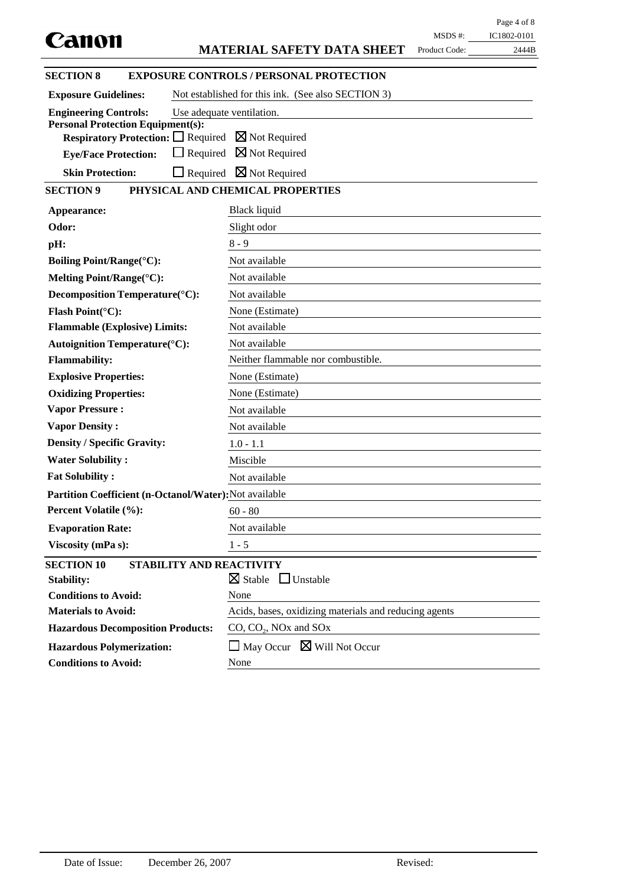|                                                        |                                                       |               | Page 4 of 8 |
|--------------------------------------------------------|-------------------------------------------------------|---------------|-------------|
| Canon                                                  |                                                       | MSDS #:       | IC1802-0101 |
|                                                        | <b>MATERIAL SAFETY DATA SHEET</b>                     | Product Code: | 2444B       |
| <b>SECTION 8</b>                                       | <b>EXPOSURE CONTROLS / PERSONAL PROTECTION</b>        |               |             |
| <b>Exposure Guidelines:</b>                            | Not established for this ink. (See also SECTION 3)    |               |             |
| <b>Engineering Controls:</b>                           | Use adequate ventilation.                             |               |             |
| <b>Personal Protection Equipment(s):</b>               | $\boxtimes$ Not Required                              |               |             |
| <b>Respiratory Protection:</b> $\Box$ Required         | $\boxtimes$ Not Required<br>$\Box$ Required           |               |             |
| <b>Eye/Face Protection:</b>                            |                                                       |               |             |
| <b>Skin Protection:</b>                                | $\boxtimes$ Not Required<br>$\Box$ Required           |               |             |
| <b>SECTION 9</b>                                       | PHYSICAL AND CHEMICAL PROPERTIES                      |               |             |
| Appearance:                                            | Black liquid                                          |               |             |
| Odor:                                                  | Slight odor                                           |               |             |
| pH:                                                    | $8 - 9$                                               |               |             |
| <b>Boiling Point/Range(°C):</b>                        | Not available                                         |               |             |
| Melting Point/Range(°C):                               | Not available                                         |               |             |
| Decomposition Temperature(°C):                         | Not available                                         |               |             |
| Flash Point(°C):                                       | None (Estimate)                                       |               |             |
| <b>Flammable (Explosive) Limits:</b>                   | Not available                                         |               |             |
| Autoignition Temperature(°C):                          | Not available                                         |               |             |
| <b>Flammability:</b>                                   | Neither flammable nor combustible.                    |               |             |
| <b>Explosive Properties:</b>                           | None (Estimate)                                       |               |             |
| <b>Oxidizing Properties:</b>                           | None (Estimate)                                       |               |             |
| <b>Vapor Pressure:</b>                                 | Not available                                         |               |             |
| <b>Vapor Density:</b>                                  | Not available                                         |               |             |
| <b>Density / Specific Gravity:</b>                     | $1.0 - 1.1$                                           |               |             |
| <b>Water Solubility:</b>                               | Miscible                                              |               |             |
| <b>Fat Solubility:</b>                                 | Not available                                         |               |             |
| Partition Coefficient (n-Octanol/Water): Not available |                                                       |               |             |
| Percent Volatile (%):                                  | $60 - 80$                                             |               |             |
| <b>Evaporation Rate:</b>                               | Not available                                         |               |             |
| Viscosity (mPa s):                                     | $1 - 5$                                               |               |             |
| <b>SECTION 10</b>                                      | STABILITY AND REACTIVITY                              |               |             |
| <b>Stability:</b>                                      | $\boxtimes$ Stable<br>$\Box$ Unstable                 |               |             |
| <b>Conditions to Avoid:</b>                            | None                                                  |               |             |
| <b>Materials to Avoid:</b>                             | Acids, bases, oxidizing materials and reducing agents |               |             |
| <b>Hazardous Decomposition Products:</b>               | $CO$ , $CO2$ , NOx and SOx                            |               |             |
| <b>Hazardous Polymerization:</b>                       | $\Box$ May Occur $\boxtimes$ Will Not Occur           |               |             |
| <b>Conditions to Avoid:</b>                            | None                                                  |               |             |
|                                                        |                                                       |               |             |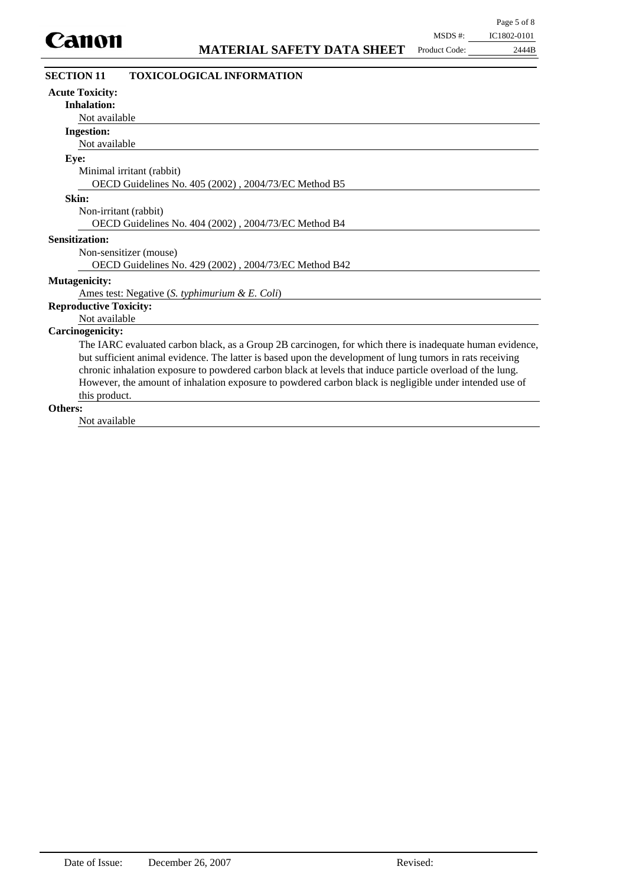| <b>SECTION 11</b><br><b>TOXICOLOGICAL INFORMATION</b>                                                     |  |
|-----------------------------------------------------------------------------------------------------------|--|
| <b>Acute Toxicity:</b>                                                                                    |  |
| <b>Inhalation:</b>                                                                                        |  |
| Not available                                                                                             |  |
| <b>Ingestion:</b>                                                                                         |  |
| Not available                                                                                             |  |
| Eye:                                                                                                      |  |
| Minimal irritant (rabbit)                                                                                 |  |
| OECD Guidelines No. 405 (2002), 2004/73/EC Method B5                                                      |  |
| Skin:                                                                                                     |  |
| Non-irritant (rabbit)                                                                                     |  |
| OECD Guidelines No. 404 (2002), 2004/73/EC Method B4                                                      |  |
| <b>Sensitization:</b>                                                                                     |  |
| Non-sensitizer (mouse)                                                                                    |  |
| OECD Guidelines No. 429 (2002), 2004/73/EC Method B42                                                     |  |
| <b>Mutagenicity:</b>                                                                                      |  |
| Ames test: Negative (S. typhimurium & E. Coli)                                                            |  |
| <b>Reproductive Toxicity:</b>                                                                             |  |
| Not available                                                                                             |  |
| <b>Carcinogenicity:</b>                                                                                   |  |
| The IARC evaluated carbon black, as a Group 2B carcinogen, for which there is inadequate human evidence,  |  |
| but sufficient animal evidence. The latter is based upon the development of lung tumors in rats receiving |  |
| chronic inhalation exposure to powdered carbon black at levels that induce particle overload of the lung. |  |
| However, the amount of inhalation exposure to powdered carbon black is negligible under intended use of   |  |
| this product.                                                                                             |  |
| ∩therc∙                                                                                                   |  |

### **Others:**

Not available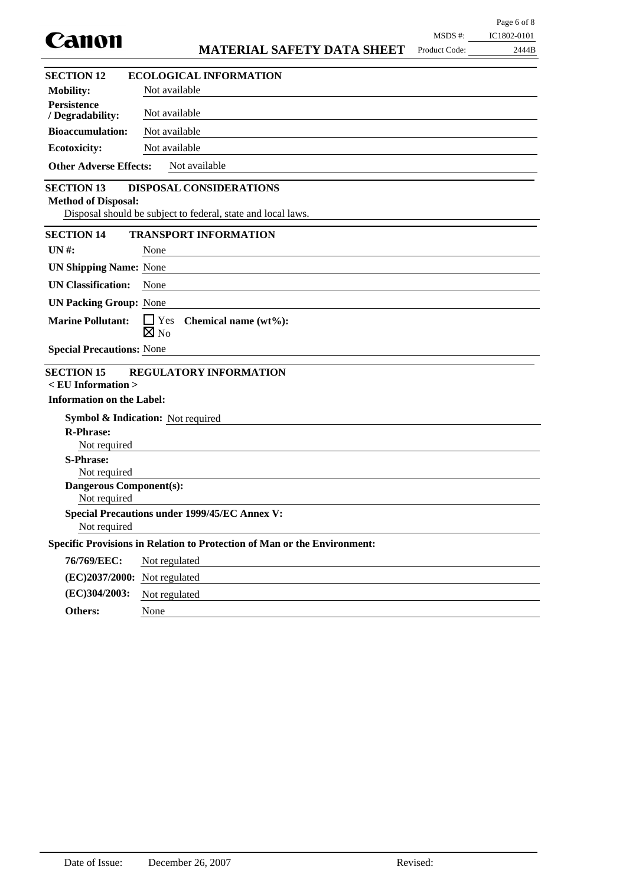| Canon                                                |                                                                          | MSDS #:       | IC1802-0101 |  |  |
|------------------------------------------------------|--------------------------------------------------------------------------|---------------|-------------|--|--|
|                                                      | <b>MATERIAL SAFETY DATA SHEET</b>                                        | Product Code: | 2444B       |  |  |
| <b>SECTION 12</b>                                    | <b>ECOLOGICAL INFORMATION</b>                                            |               |             |  |  |
| <b>Mobility:</b>                                     | Not available                                                            |               |             |  |  |
| <b>Persistence</b><br>/ Degradability:               | Not available                                                            |               |             |  |  |
| <b>Bioaccumulation:</b>                              | Not available                                                            |               |             |  |  |
| <b>Ecotoxicity:</b>                                  | Not available                                                            |               |             |  |  |
| <b>Other Adverse Effects:</b>                        | Not available                                                            |               |             |  |  |
| <b>SECTION 13</b><br><b>Method of Disposal:</b>      | <b>DISPOSAL CONSIDERATIONS</b>                                           |               |             |  |  |
|                                                      | Disposal should be subject to federal, state and local laws.             |               |             |  |  |
| <b>SECTION 14</b>                                    | <b>TRANSPORT INFORMATION</b>                                             |               |             |  |  |
| <b>UN#:</b>                                          | None                                                                     |               |             |  |  |
| <b>UN Shipping Name: None</b>                        |                                                                          |               |             |  |  |
| <b>UN Classification:</b>                            | None                                                                     |               |             |  |  |
| <b>UN Packing Group: None</b>                        |                                                                          |               |             |  |  |
| <b>Marine Pollutant:</b>                             | $\Box$ Yes<br>Chemical name (wt%):                                       |               |             |  |  |
|                                                      | $\boxtimes$ No                                                           |               |             |  |  |
| <b>Special Precautions: None</b>                     |                                                                          |               |             |  |  |
| <b>SECTION 15</b>                                    | <b>REGULATORY INFORMATION</b>                                            |               |             |  |  |
| $<$ EU Information $>$                               |                                                                          |               |             |  |  |
| <b>Information on the Label:</b>                     |                                                                          |               |             |  |  |
|                                                      | <b>Symbol &amp; Indication:</b> Not required                             |               |             |  |  |
| <b>R-Phrase:</b><br>Not required                     |                                                                          |               |             |  |  |
| <b>S-Phrase:</b>                                     |                                                                          |               |             |  |  |
| Not required                                         |                                                                          |               |             |  |  |
| <b>Dangerous Component(s):</b><br>Not required       |                                                                          |               |             |  |  |
| <b>Special Precautions under 1999/45/EC Annex V:</b> |                                                                          |               |             |  |  |
| Not required                                         |                                                                          |               |             |  |  |
|                                                      | Specific Provisions in Relation to Protection of Man or the Environment: |               |             |  |  |
| 76/769/EEC:                                          | Not regulated                                                            |               |             |  |  |
| (EC)2037/2000:                                       | Not regulated                                                            |               |             |  |  |
| (EC)304/2003:                                        | Not regulated                                                            |               |             |  |  |
| Others:                                              | None                                                                     |               |             |  |  |

Page 6 of 8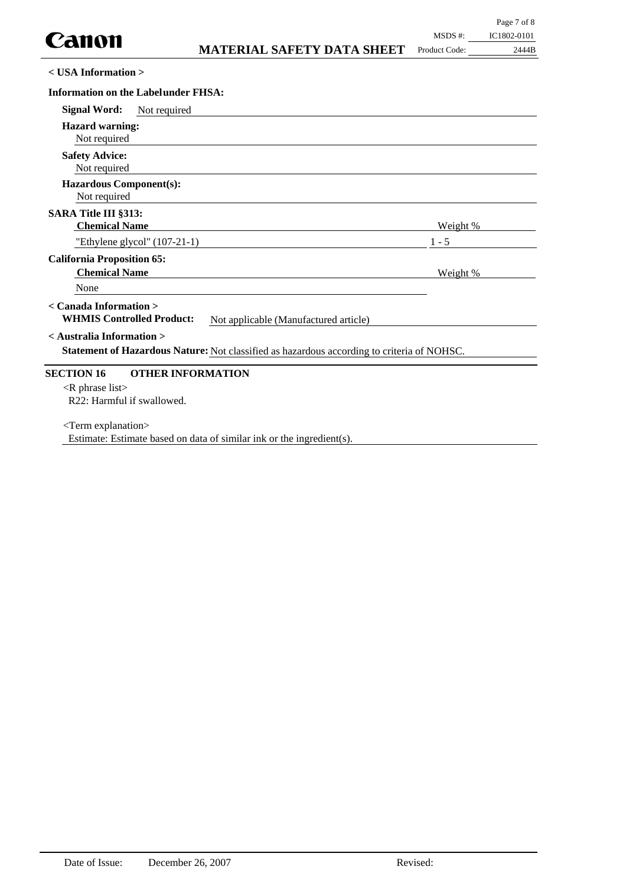**< USA Information >**

| <b>Signal Word:</b><br>Not required                                                                                     |                 |
|-------------------------------------------------------------------------------------------------------------------------|-----------------|
| <b>Hazard warning:</b><br>Not required                                                                                  |                 |
| <b>Safety Advice:</b>                                                                                                   |                 |
| Not required                                                                                                            |                 |
| <b>Hazardous Component(s):</b><br>Not required                                                                          |                 |
| <b>SARA Title III §313:</b>                                                                                             |                 |
| <b>Chemical Name</b>                                                                                                    | <u>Weight %</u> |
| "Ethylene glycol" $(107-21-1)$                                                                                          | $1 - 5$         |
| <b>California Proposition 65:</b>                                                                                       |                 |
| <b>Chemical Name</b>                                                                                                    | Weight %        |
| None                                                                                                                    |                 |
| < Canada Information ><br><b>WHMIS Controlled Product:</b><br>Not applicable (Manufactured article)                     |                 |
| < Australia Information ><br>Statement of Hazardous Nature: Not classified as hazardous according to criteria of NOHSC. |                 |
| <b>SECTION 16</b><br><b>OTHER INFORMATION</b>                                                                           |                 |
| $\langle R \rangle$ phrase list<br>R22: Harmful if swallowed.                                                           |                 |
| <term explanation=""></term>                                                                                            |                 |

Estimate: Estimate based on data of similar ink or the ingredient(s).